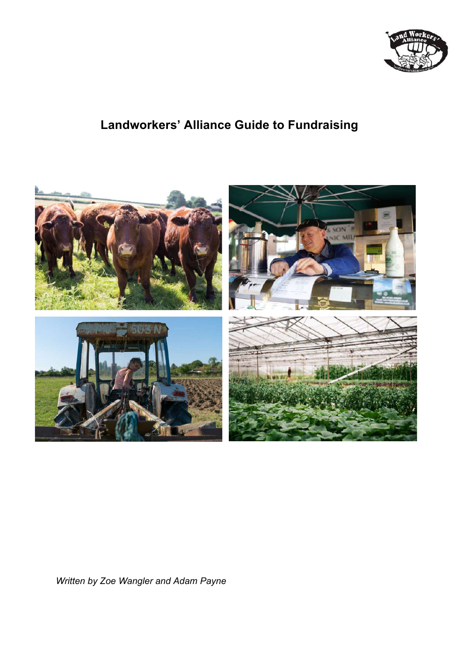

# **Landworkers' Alliance Guide to Fundraising**



*Written by Zoe Wangler and Adam Payne*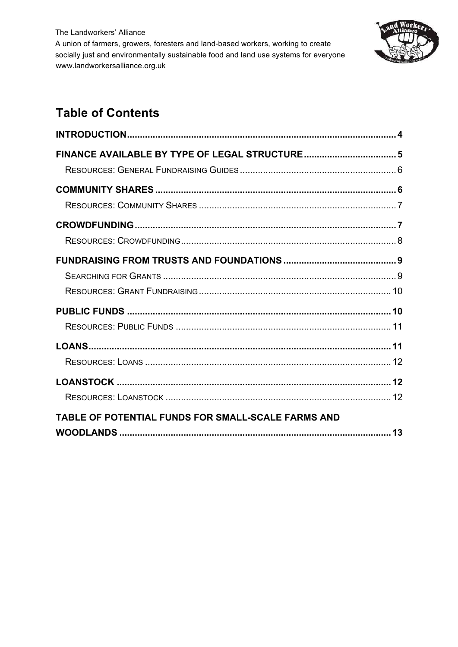

# **Table of Contents**

| TABLE OF POTENTIAL FUNDS FOR SMALL-SCALE FARMS AND |  |
|----------------------------------------------------|--|
|                                                    |  |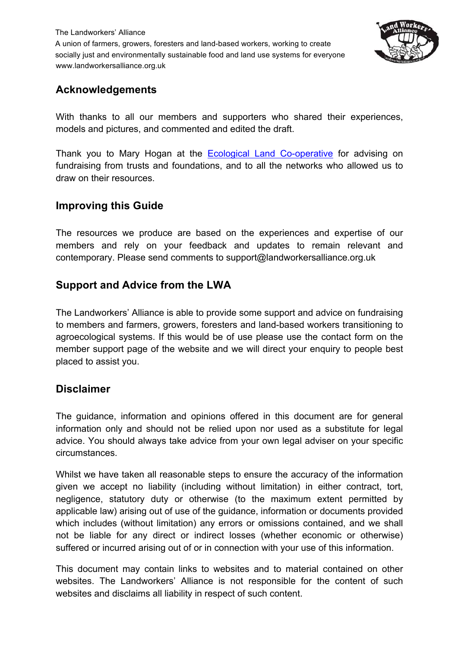

### **Acknowledgements**

With thanks to all our members and supporters who shared their experiences, models and pictures, and commented and edited the draft.

Thank you to Mary Hogan at the Ecological Land Co-operative for advising on fundraising from trusts and foundations, and to all the networks who allowed us to draw on their resources.

### **Improving this Guide**

The resources we produce are based on the experiences and expertise of our members and rely on your feedback and updates to remain relevant and contemporary. Please send comments to support@landworkersalliance.org.uk

# **Support and Advice from the LWA**

The Landworkers' Alliance is able to provide some support and advice on fundraising to members and farmers, growers, foresters and land-based workers transitioning to agroecological systems. If this would be of use please use the contact form on the member support page of the website and we will direct your enquiry to people best placed to assist you.

### **Disclaimer**

The guidance, information and opinions offered in this document are for general information only and should not be relied upon nor used as a substitute for legal advice. You should always take advice from your own legal adviser on your specific circumstances.

Whilst we have taken all reasonable steps to ensure the accuracy of the information given we accept no liability (including without limitation) in either contract, tort, negligence, statutory duty or otherwise (to the maximum extent permitted by applicable law) arising out of use of the guidance, information or documents provided which includes (without limitation) any errors or omissions contained, and we shall not be liable for any direct or indirect losses (whether economic or otherwise) suffered or incurred arising out of or in connection with your use of this information.

This document may contain links to websites and to material contained on other websites. The Landworkers' Alliance is not responsible for the content of such websites and disclaims all liability in respect of such content.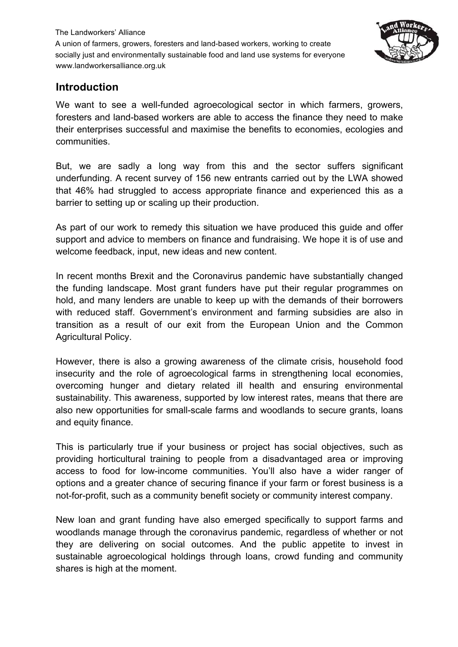

#### **Introduction**

We want to see a well-funded agroecological sector in which farmers, growers, foresters and land-based workers are able to access the finance they need to make their enterprises successful and maximise the benefits to economies, ecologies and communities.

But, we are sadly a long way from this and the sector suffers significant underfunding. A recent survey of 156 new entrants carried out by the LWA showed that 46% had struggled to access appropriate finance and experienced this as a barrier to setting up or scaling up their production.

As part of our work to remedy this situation we have produced this guide and offer support and advice to members on finance and fundraising. We hope it is of use and welcome feedback, input, new ideas and new content.

In recent months Brexit and the Coronavirus pandemic have substantially changed the funding landscape. Most grant funders have put their regular programmes on hold, and many lenders are unable to keep up with the demands of their borrowers with reduced staff. Government's environment and farming subsidies are also in transition as a result of our exit from the European Union and the Common Agricultural Policy.

However, there is also a growing awareness of the climate crisis, household food insecurity and the role of agroecological farms in strengthening local economies, overcoming hunger and dietary related ill health and ensuring environmental sustainability. This awareness, supported by low interest rates, means that there are also new opportunities for small-scale farms and woodlands to secure grants, loans and equity finance.

This is particularly true if your business or project has social objectives, such as providing horticultural training to people from a disadvantaged area or improving access to food for low-income communities. You'll also have a wider ranger of options and a greater chance of securing finance if your farm or forest business is a not-for-profit, such as a community benefit society or community interest company.

New loan and grant funding have also emerged specifically to support farms and woodlands manage through the coronavirus pandemic, regardless of whether or not they are delivering on social outcomes. And the public appetite to invest in sustainable agroecological holdings through loans, crowd funding and community shares is high at the moment.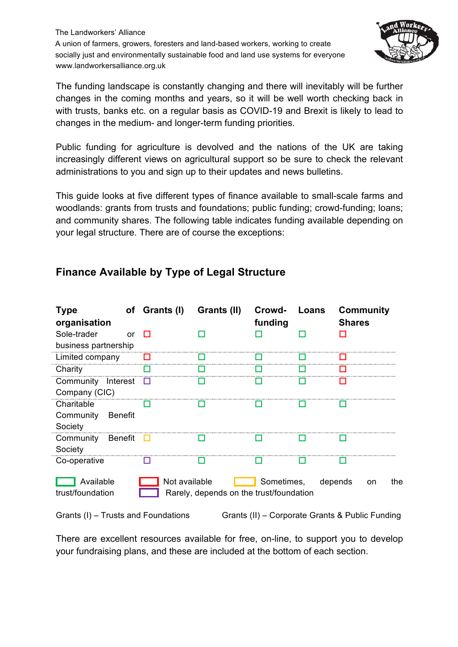

The funding landscape is constantly changing and there will inevitably will be further changes in the coming months and years, so it will be well worth checking back in with trusts, banks etc. on a regular basis as COVID-19 and Brexit is likely to lead to changes in the medium- and longer-term funding priorities.

Public funding for agriculture is devolved and the nations of the UK are taking increasingly different views on agricultural support so be sure to check the relevant administrations to you and sign up to their updates and news bulletins.

This guide looks at five different types of finance available to small-scale farms and woodlands: grants from trusts and foundations; public funding; crowd-funding; loans; and community shares. The following table indicates funding available depending on your legal structure. There are of course the exceptions:

| <b>Type</b><br>organisation                          | of Grants (I) | Grants (II)                                              | Crowd-<br>funding | Loans | <b>Shares</b> | <b>Community</b> |
|------------------------------------------------------|---------------|----------------------------------------------------------|-------------------|-------|---------------|------------------|
| Sole-trader<br><sub>or</sub><br>business partnership | П             |                                                          |                   |       |               |                  |
| Limited company                                      |               |                                                          |                   |       |               |                  |
| Charity                                              |               |                                                          |                   |       |               |                  |
| Community Interest<br>Company (CIC)                  | ш             |                                                          |                   |       |               |                  |
| Charitable<br>Community<br><b>Benefit</b><br>Society |               |                                                          |                   |       |               |                  |
| <b>Benefit</b><br>Community<br>Society               | . .           |                                                          |                   |       |               |                  |
| Co-operative                                         |               |                                                          |                   |       |               |                  |
| Available<br>trust/foundation                        |               | Not available<br>Rarely, depends on the trust/foundation | Sometimes,        |       | depends       | the<br>on        |

# **Finance Available by Type of Legal Structure**

Grants (I) – Trusts and Foundations Grants (II) – Corporate Grants & Public Funding

There are excellent resources available for free, on-line, to support you to develop your fundraising plans, and these are included at the bottom of each section.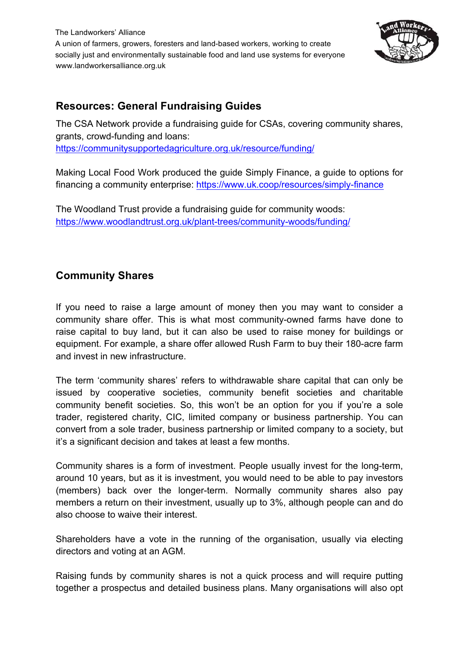

## **Resources: General Fundraising Guides**

The CSA Network provide a fundraising guide for CSAs, covering community shares, grants, crowd-funding and loans: https://communitysupportedagriculture.org.uk/resource/funding/

Making Local Food Work produced the guide Simply Finance, a guide to options for financing a community enterprise: https://www.uk.coop/resources/simply-finance

The Woodland Trust provide a fundraising guide for community woods: https://www.woodlandtrust.org.uk/plant-trees/community-woods/funding/

## **Community Shares**

If you need to raise a large amount of money then you may want to consider a community share offer. This is what most community-owned farms have done to raise capital to buy land, but it can also be used to raise money for buildings or equipment. For example, a share offer allowed Rush Farm to buy their 180-acre farm and invest in new infrastructure.

The term 'community shares' refers to withdrawable share capital that can only be issued by cooperative societies, community benefit societies and charitable community benefit societies. So, this won't be an option for you if you're a sole trader, registered charity, CIC, limited company or business partnership. You can convert from a sole trader, business partnership or limited company to a society, but it's a significant decision and takes at least a few months.

Community shares is a form of investment. People usually invest for the long-term, around 10 years, but as it is investment, you would need to be able to pay investors (members) back over the longer-term. Normally community shares also pay members a return on their investment, usually up to 3%, although people can and do also choose to waive their interest.

Shareholders have a vote in the running of the organisation, usually via electing directors and voting at an AGM.

Raising funds by community shares is not a quick process and will require putting together a prospectus and detailed business plans. Many organisations will also opt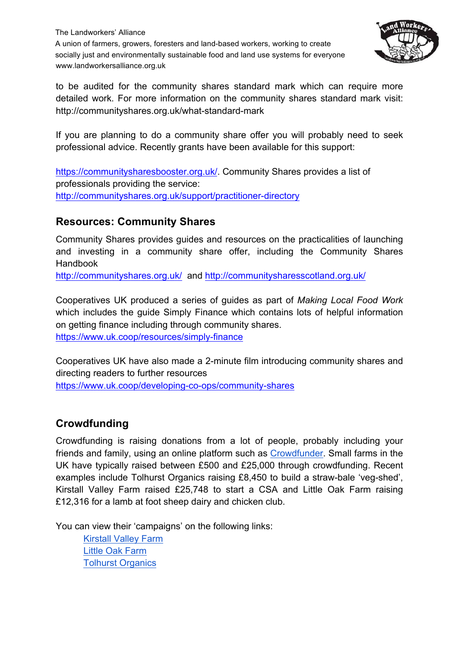

to be audited for the community shares standard mark which can require more detailed work. For more information on the community shares standard mark visit: http://communityshares.org.uk/what-standard-mark

If you are planning to do a community share offer you will probably need to seek professional advice. Recently grants have been available for this support:

https://communitysharesbooster.org.uk/. Community Shares provides a list of professionals providing the service: http://communityshares.org.uk/support/practitioner-directory

### **Resources: Community Shares**

Community Shares provides guides and resources on the practicalities of launching and investing in a community share offer, including the Community Shares Handbook

http://communityshares.org.uk/ and http://communitysharesscotland.org.uk/

Cooperatives UK produced a series of guides as part of *Making Local Food Work* which includes the guide Simply Finance which contains lots of helpful information on getting finance including through community shares. https://www.uk.coop/resources/simply-finance

Cooperatives UK have also made a 2-minute film introducing community shares and directing readers to further resources

https://www.uk.coop/developing-co-ops/community-shares

# **Crowdfunding**

Crowdfunding is raising donations from a lot of people, probably including your friends and family, using an online platform such as Crowdfunder. Small farms in the UK have typically raised between £500 and £25,000 through crowdfunding. Recent examples include Tolhurst Organics raising £8,450 to build a straw-bale 'veg-shed', Kirstall Valley Farm raised £25,748 to start a CSA and Little Oak Farm raising £12,316 for a lamb at foot sheep dairy and chicken club.

You can view their 'campaigns' on the following links:

Kirstall Valley Farm Little Oak Farm Tolhurst Organics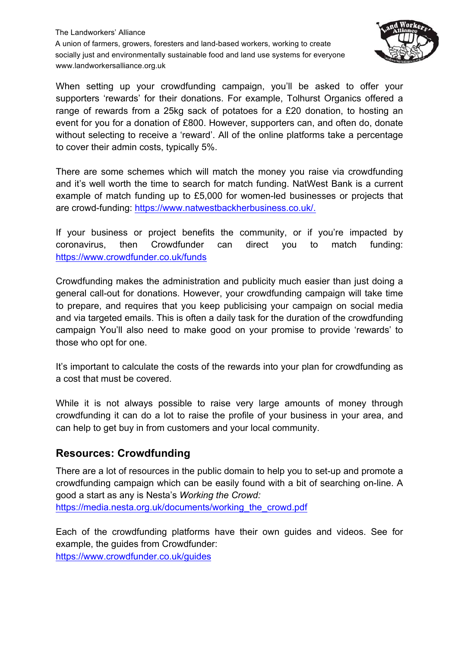

When setting up your crowdfunding campaign, you'll be asked to offer your supporters 'rewards' for their donations. For example, Tolhurst Organics offered a range of rewards from a 25kg sack of potatoes for a £20 donation, to hosting an event for you for a donation of £800. However, supporters can, and often do, donate without selecting to receive a 'reward'. All of the online platforms take a percentage to cover their admin costs, typically 5%.

There are some schemes which will match the money you raise via crowdfunding and it's well worth the time to search for match funding. NatWest Bank is a current example of match funding up to £5,000 for women-led businesses or projects that are crowd-funding: https://www.natwestbackherbusiness.co.uk/.

If your business or project benefits the community, or if you're impacted by coronavirus, then Crowdfunder can direct you to match funding: https://www.crowdfunder.co.uk/funds

Crowdfunding makes the administration and publicity much easier than just doing a general call-out for donations. However, your crowdfunding campaign will take time to prepare, and requires that you keep publicising your campaign on social media and via targeted emails. This is often a daily task for the duration of the crowdfunding campaign You'll also need to make good on your promise to provide 'rewards' to those who opt for one.

It's important to calculate the costs of the rewards into your plan for crowdfunding as a cost that must be covered.

While it is not always possible to raise very large amounts of money through crowdfunding it can do a lot to raise the profile of your business in your area, and can help to get buy in from customers and your local community.

#### **Resources: Crowdfunding**

There are a lot of resources in the public domain to help you to set-up and promote a crowdfunding campaign which can be easily found with a bit of searching on-line. A good a start as any is Nesta's *Working the Crowd:*

https://media.nesta.org.uk/documents/working\_the\_crowd.pdf

Each of the crowdfunding platforms have their own guides and videos. See for example, the guides from Crowdfunder:

https://www.crowdfunder.co.uk/guides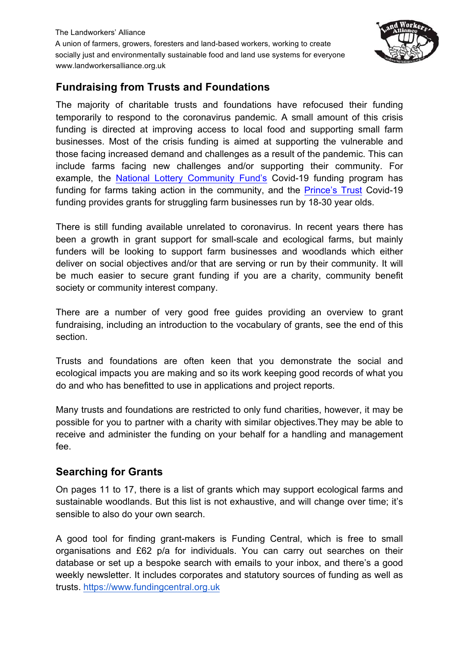

# **Fundraising from Trusts and Foundations**

The majority of charitable trusts and foundations have refocused their funding temporarily to respond to the coronavirus pandemic. A small amount of this crisis funding is directed at improving access to local food and supporting small farm businesses. Most of the crisis funding is aimed at supporting the vulnerable and those facing increased demand and challenges as a result of the pandemic. This can include farms facing new challenges and/or supporting their community. For example, the National Lottery Community Fund's Covid-19 funding program has funding for farms taking action in the community, and the Prince's Trust Covid-19 funding provides grants for struggling farm businesses run by 18-30 year olds.

There is still funding available unrelated to coronavirus. In recent years there has been a growth in grant support for small-scale and ecological farms, but mainly funders will be looking to support farm businesses and woodlands which either deliver on social objectives and/or that are serving or run by their community. It will be much easier to secure grant funding if you are a charity, community benefit society or community interest company.

There are a number of very good free guides providing an overview to grant fundraising, including an introduction to the vocabulary of grants, see the end of this section.

Trusts and foundations are often keen that you demonstrate the social and ecological impacts you are making and so its work keeping good records of what you do and who has benefitted to use in applications and project reports.

Many trusts and foundations are restricted to only fund charities, however, it may be possible for you to partner with a charity with similar objectives.They may be able to receive and administer the funding on your behalf for a handling and management fee.

### **Searching for Grants**

On pages 11 to 17, there is a list of grants which may support ecological farms and sustainable woodlands. But this list is not exhaustive, and will change over time; it's sensible to also do your own search.

A good tool for finding grant-makers is Funding Central, which is free to small organisations and £62 p/a for individuals. You can carry out searches on their database or set up a bespoke search with emails to your inbox, and there's a good weekly newsletter. It includes corporates and statutory sources of funding as well as trusts. https://www.fundingcentral.org.uk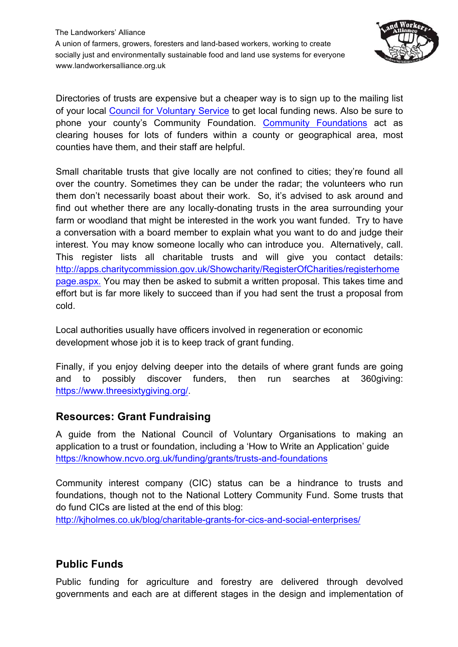

Directories of trusts are expensive but a cheaper way is to sign up to the mailing list of your local Council for Voluntary Service to get local funding news. Also be sure to phone your county's Community Foundation. Community Foundations act as clearing houses for lots of funders within a county or geographical area, most counties have them, and their staff are helpful.

Small charitable trusts that give locally are not confined to cities; they're found all over the country. Sometimes they can be under the radar; the volunteers who run them don't necessarily boast about their work. So, it's advised to ask around and find out whether there are any locally-donating trusts in the area surrounding your farm or woodland that might be interested in the work you want funded. Try to have a conversation with a board member to explain what you want to do and judge their interest. You may know someone locally who can introduce you. Alternatively, call. This register lists all charitable trusts and will give you contact details: http://apps.charitycommission.gov.uk/Showcharity/RegisterOfCharities/registerhome page.aspx. You may then be asked to submit a written proposal. This takes time and effort but is far more likely to succeed than if you had sent the trust a proposal from cold.

Local authorities usually have officers involved in regeneration or economic development whose job it is to keep track of grant funding.

Finally, if you enjoy delving deeper into the details of where grant funds are going and to possibly discover funders, then run searches at 360giving: https://www.threesixtygiving.org/.

### **Resources: Grant Fundraising**

A guide from the National Council of Voluntary Organisations to making an application to a trust or foundation, including a 'How to Write an Application' guide https://knowhow.ncvo.org.uk/funding/grants/trusts-and-foundations

Community interest company (CIC) status can be a hindrance to trusts and foundations, though not to the National Lottery Community Fund. Some trusts that do fund CICs are listed at the end of this blog:

http://kjholmes.co.uk/blog/charitable-grants-for-cics-and-social-enterprises/

### **Public Funds**

Public funding for agriculture and forestry are delivered through devolved governments and each are at different stages in the design and implementation of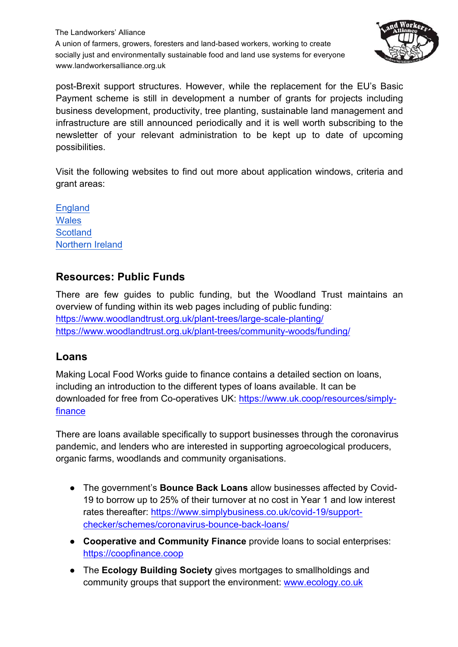

post-Brexit support structures. However, while the replacement for the EU's Basic Payment scheme is still in development a number of grants for projects including business development, productivity, tree planting, sustainable land management and infrastructure are still announced periodically and it is well worth subscribing to the newsletter of your relevant administration to be kept up to date of upcoming possibilities.

Visit the following websites to find out more about application windows, criteria and grant areas:

**England Wales Scotland** Northern Ireland

# **Resources: Public Funds**

There are few guides to public funding, but the Woodland Trust maintains an overview of funding within its web pages including of public funding: https://www.woodlandtrust.org.uk/plant-trees/large-scale-planting/ https://www.woodlandtrust.org.uk/plant-trees/community-woods/funding/

### **Loans**

Making Local Food Works guide to finance contains a detailed section on loans, including an introduction to the different types of loans available. It can be downloaded for free from Co-operatives UK: https://www.uk.coop/resources/simplyfinance

There are loans available specifically to support businesses through the coronavirus pandemic, and lenders who are interested in supporting agroecological producers, organic farms, woodlands and community organisations.

- The government's **Bounce Back Loans** allow businesses affected by Covid-19 to borrow up to 25% of their turnover at no cost in Year 1 and low interest rates thereafter: https://www.simplybusiness.co.uk/covid-19/supportchecker/schemes/coronavirus-bounce-back-loans/
- **Cooperative and Community Finance** provide loans to social enterprises: https://coopfinance.coop
- The **Ecology Building Society** gives mortgages to smallholdings and community groups that support the environment: www.ecology.co.uk